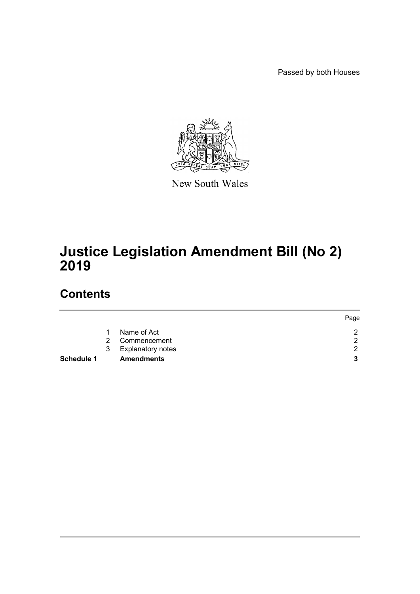Passed by both Houses



New South Wales

# **Justice Legislation Amendment Bill (No 2) 2019**

# **Contents**

|                   |               |                     | Page |
|-------------------|---------------|---------------------|------|
|                   |               | Name of Act         |      |
|                   | $\mathcal{P}$ | Commencement        | ◠    |
|                   |               | 3 Explanatory notes | ◠    |
| <b>Schedule 1</b> |               | <b>Amendments</b>   | 2    |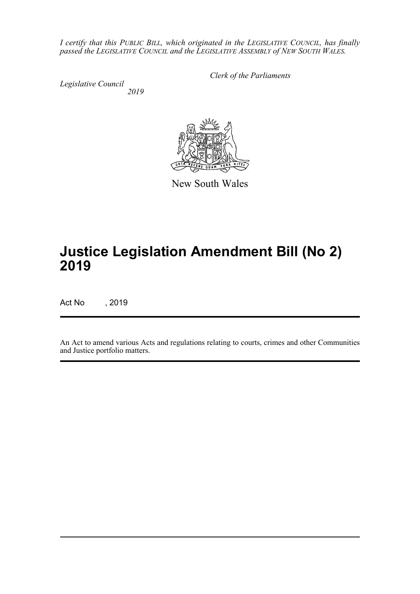*I certify that this PUBLIC BILL, which originated in the LEGISLATIVE COUNCIL, has finally passed the LEGISLATIVE COUNCIL and the LEGISLATIVE ASSEMBLY of NEW SOUTH WALES.*

*Legislative Council 2019* *Clerk of the Parliaments*



New South Wales

# **Justice Legislation Amendment Bill (No 2) 2019**

Act No , 2019

An Act to amend various Acts and regulations relating to courts, crimes and other Communities and Justice portfolio matters.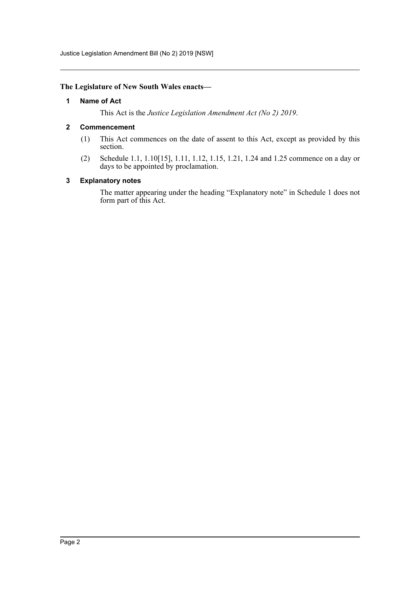Justice Legislation Amendment Bill (No 2) 2019 [NSW]

#### <span id="page-2-0"></span>**The Legislature of New South Wales enacts—**

#### **1 Name of Act**

This Act is the *Justice Legislation Amendment Act (No 2) 2019*.

#### <span id="page-2-1"></span>**2 Commencement**

- (1) This Act commences on the date of assent to this Act, except as provided by this section.
- (2) Schedule 1.1, 1.10[15], 1.11, 1.12, 1.15, 1.21, 1.24 and 1.25 commence on a day or days to be appointed by proclamation.

#### <span id="page-2-2"></span>**3 Explanatory notes**

The matter appearing under the heading "Explanatory note" in Schedule 1 does not form part of this Act.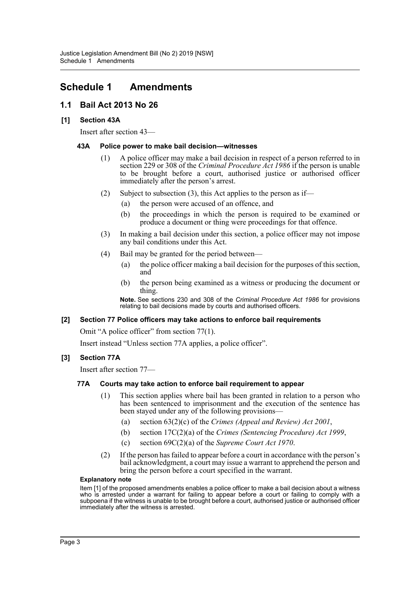# <span id="page-3-0"></span>**Schedule 1 Amendments**

# **1.1 Bail Act 2013 No 26**

### **[1] Section 43A**

Insert after section 43—

#### **43A Police power to make bail decision—witnesses**

- (1) A police officer may make a bail decision in respect of a person referred to in section 229 or 308 of the *Criminal Procedure Act 1986* if the person is unable to be brought before a court, authorised justice or authorised officer immediately after the person's arrest.
- (2) Subject to subsection (3), this Act applies to the person as if—
	- (a) the person were accused of an offence, and
	- (b) the proceedings in which the person is required to be examined or produce a document or thing were proceedings for that offence.
- (3) In making a bail decision under this section, a police officer may not impose any bail conditions under this Act.
- (4) Bail may be granted for the period between—
	- (a) the police officer making a bail decision for the purposes of this section, and
	- (b) the person being examined as a witness or producing the document or thing.

**Note.** See sections 230 and 308 of the *Criminal Procedure Act 1986* for provisions relating to bail decisions made by courts and authorised officers.

#### **[2] Section 77 Police officers may take actions to enforce bail requirements**

Omit "A police officer" from section 77(1).

Insert instead "Unless section 77A applies, a police officer".

#### **[3] Section 77A**

Insert after section 77—

#### **77A Courts may take action to enforce bail requirement to appear**

- (1) This section applies where bail has been granted in relation to a person who has been sentenced to imprisonment and the execution of the sentence has been stayed under any of the following provisions—
	- (a) section 63(2)(c) of the *Crimes (Appeal and Review) Act 2001*,
	- (b) section 17C(2)(a) of the *Crimes (Sentencing Procedure) Act 1999*,
	- (c) section 69C(2)(a) of the *Supreme Court Act 1970*.
- (2) If the person has failed to appear before a court in accordance with the person's bail acknowledgment, a court may issue a warrant to apprehend the person and bring the person before a court specified in the warrant.

#### **Explanatory note**

Item [1] of the proposed amendments enables a police officer to make a bail decision about a witness who is arrested under a warrant for failing to appear before a court or failing to comply with a subpoena if the witness is unable to be brought before a court, authorised justice or authorised officer immediately after the witness is arrested.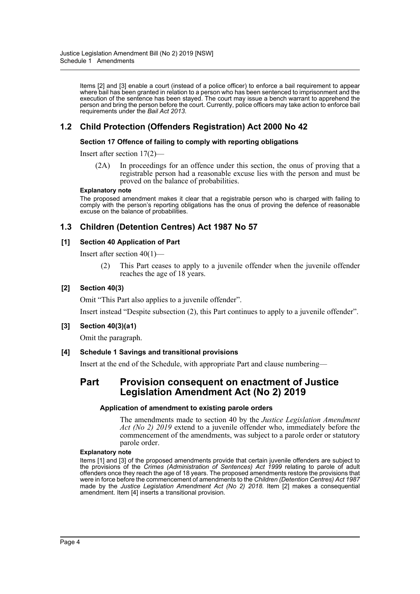Items [2] and [3] enable a court (instead of a police officer) to enforce a bail requirement to appear where bail has been granted in relation to a person who has been sentenced to imprisonment and the execution of the sentence has been stayed. The court may issue a bench warrant to apprehend the person and bring the person before the court. Currently, police officers may take action to enforce bail requirements under the *Bail Act 2013*.

# **1.2 Child Protection (Offenders Registration) Act 2000 No 42**

#### **Section 17 Offence of failing to comply with reporting obligations**

Insert after section 17(2)—

(2A) In proceedings for an offence under this section, the onus of proving that a registrable person had a reasonable excuse lies with the person and must be proved on the balance of probabilities.

#### **Explanatory note**

The proposed amendment makes it clear that a registrable person who is charged with failing to comply with the person's reporting obligations has the onus of proving the defence of reasonable excuse on the balance of probabilities.

# **1.3 Children (Detention Centres) Act 1987 No 57**

#### **[1] Section 40 Application of Part**

Insert after section 40(1)—

(2) This Part ceases to apply to a juvenile offender when the juvenile offender reaches the age of 18 years.

#### **[2] Section 40(3)**

Omit "This Part also applies to a juvenile offender".

Insert instead "Despite subsection (2), this Part continues to apply to a juvenile offender".

#### **[3] Section 40(3)(a1)**

Omit the paragraph.

#### **[4] Schedule 1 Savings and transitional provisions**

Insert at the end of the Schedule, with appropriate Part and clause numbering—

# **Part Provision consequent on enactment of Justice Legislation Amendment Act (No 2) 2019**

#### **Application of amendment to existing parole orders**

The amendments made to section 40 by the *Justice Legislation Amendment Act (No 2) 2019* extend to a juvenile offender who, immediately before the commencement of the amendments, was subject to a parole order or statutory parole order.

#### **Explanatory note**

Items [1] and [3] of the proposed amendments provide that certain juvenile offenders are subject to the provisions of the *Crimes (Administration of Sentences) Act 1999* relating to parole of adult offenders once they reach the age of 18 years. The proposed amendments restore the provisions that were in force before the commencement of amendments to the *Children (Detention Centres) Act 1987* made by the *Justice Legislation Amendment Act (No 2) 2018*. Item [2] makes a consequential amendment. Item [4] inserts a transitional provision.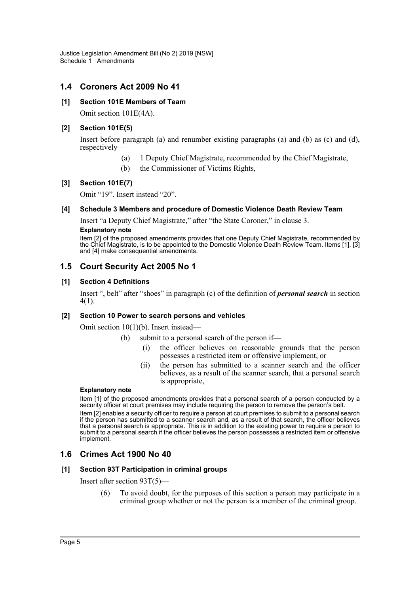# **1.4 Coroners Act 2009 No 41**

### **[1] Section 101E Members of Team**

Omit section 101E(4A).

### **[2] Section 101E(5)**

Insert before paragraph (a) and renumber existing paragraphs (a) and (b) as (c) and (d), respectively—

- (a) 1 Deputy Chief Magistrate, recommended by the Chief Magistrate,
- (b) the Commissioner of Victims Rights,

### **[3] Section 101E(7)**

Omit "19". Insert instead "20".

#### **[4] Schedule 3 Members and procedure of Domestic Violence Death Review Team**

Insert "a Deputy Chief Magistrate," after "the State Coroner," in clause 3.

### **Explanatory note**

Item [2] of the proposed amendments provides that one Deputy Chief Magistrate, recommended by the Chief Magistrate, is to be appointed to the Domestic Violence Death Review Team. Items [1], [3] and [4] make consequential amendments.

# **1.5 Court Security Act 2005 No 1**

#### **[1] Section 4 Definitions**

Insert ", belt" after "shoes" in paragraph (c) of the definition of *personal search* in section 4(1).

#### **[2] Section 10 Power to search persons and vehicles**

Omit section 10(1)(b). Insert instead—

- (b) submit to a personal search of the person if—
	- (i) the officer believes on reasonable grounds that the person possesses a restricted item or offensive implement, or
	- (ii) the person has submitted to a scanner search and the officer believes, as a result of the scanner search, that a personal search is appropriate,

#### **Explanatory note**

Item [1] of the proposed amendments provides that a personal search of a person conducted by a security officer at court premises may include requiring the person to remove the person's belt.

Item [2] enables a security officer to require a person at court premises to submit to a personal search if the person has submitted to a scanner search and, as a result of that search, the officer believes that a personal search is appropriate. This is in addition to the existing power to require a person to submit to a personal search if the officer believes the person possesses a restricted item or offensive implement.

# **1.6 Crimes Act 1900 No 40**

#### **[1] Section 93T Participation in criminal groups**

Insert after section 93T(5)—

(6) To avoid doubt, for the purposes of this section a person may participate in a criminal group whether or not the person is a member of the criminal group.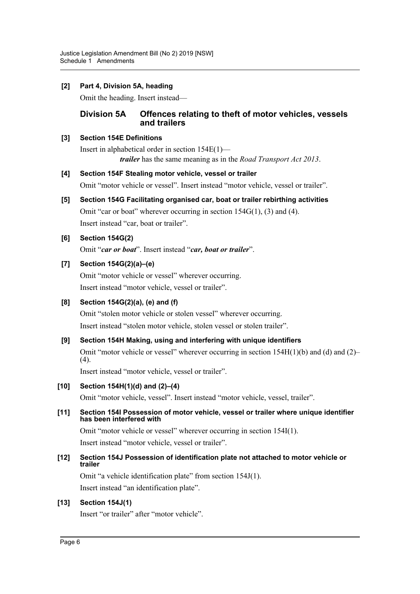# **[2] Part 4, Division 5A, heading**

Omit the heading. Insert instead—

# **Division 5A Offences relating to theft of motor vehicles, vessels and trailers**

### **[3] Section 154E Definitions**

Insert in alphabetical order in section 154E(1) *trailer* has the same meaning as in the *Road Transport Act 2013*.

# **[4] Section 154F Stealing motor vehicle, vessel or trailer**

Omit "motor vehicle or vessel". Insert instead "motor vehicle, vessel or trailer".

# **[5] Section 154G Facilitating organised car, boat or trailer rebirthing activities**

Omit "car or boat" wherever occurring in section  $154G(1)$ , (3) and (4). Insert instead "car, boat or trailer".

# **[6] Section 154G(2)**

Omit "*car or boat*". Insert instead "*car, boat or trailer*".

# **[7] Section 154G(2)(a)–(e)**

Omit "motor vehicle or vessel" wherever occurring. Insert instead "motor vehicle, vessel or trailer".

# **[8] Section 154G(2)(a), (e) and (f)**

Omit "stolen motor vehicle or stolen vessel" wherever occurring. Insert instead "stolen motor vehicle, stolen vessel or stolen trailer".

# **[9] Section 154H Making, using and interfering with unique identifiers**

Omit "motor vehicle or vessel" wherever occurring in section  $154H(1)(b)$  and (d) and (2)– (4).

Insert instead "motor vehicle, vessel or trailer".

# **[10] Section 154H(1)(d) and (2)–(4)**

Omit "motor vehicle, vessel". Insert instead "motor vehicle, vessel, trailer".

### **[11] Section 154I Possession of motor vehicle, vessel or trailer where unique identifier has been interfered with**

Omit "motor vehicle or vessel" wherever occurring in section 154I(1). Insert instead "motor vehicle, vessel or trailer".

# **[12] Section 154J Possession of identification plate not attached to motor vehicle or trailer**

Omit "a vehicle identification plate" from section 154J(1).

Insert instead "an identification plate".

# **[13] Section 154J(1)**

Insert "or trailer" after "motor vehicle".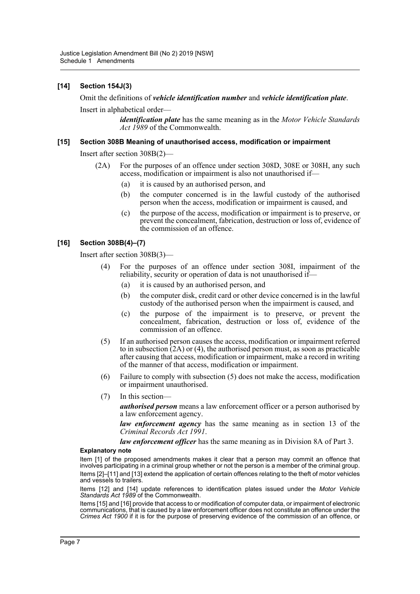# **[14] Section 154J(3)**

#### Omit the definitions of *vehicle identification number* and *vehicle identification plate*.

Insert in alphabetical order—

*identification plate* has the same meaning as in the *Motor Vehicle Standards Act 1989* of the Commonwealth.

### **[15] Section 308B Meaning of unauthorised access, modification or impairment**

Insert after section 308B(2)—

- (2A) For the purposes of an offence under section 308D, 308E or 308H, any such access, modification or impairment is also not unauthorised if—
	- (a) it is caused by an authorised person, and
	- (b) the computer concerned is in the lawful custody of the authorised person when the access, modification or impairment is caused, and
	- (c) the purpose of the access, modification or impairment is to preserve, or prevent the concealment, fabrication, destruction or loss of, evidence of the commission of an offence.

### **[16] Section 308B(4)–(7)**

Insert after section 308B(3)—

- (4) For the purposes of an offence under section 308I, impairment of the reliability, security or operation of data is not unauthorised if—
	- (a) it is caused by an authorised person, and
	- (b) the computer disk, credit card or other device concerned is in the lawful custody of the authorised person when the impairment is caused, and
	- (c) the purpose of the impairment is to preserve, or prevent the concealment, fabrication, destruction or loss of, evidence of the commission of an offence.
- (5) If an authorised person causes the access, modification or impairment referred to in subsection  $(2A)$  or (4), the authorised person must, as soon as practicable after causing that access, modification or impairment, make a record in writing of the manner of that access, modification or impairment.
- (6) Failure to comply with subsection (5) does not make the access, modification or impairment unauthorised.
- (7) In this section—

*authorised person* means a law enforcement officer or a person authorised by a law enforcement agency.

*law enforcement agency* has the same meaning as in section 13 of the *Criminal Records Act 1991*.

*law enforcement officer* has the same meaning as in Division 8A of Part 3.

#### **Explanatory note**

Item [1] of the proposed amendments makes it clear that a person may commit an offence that involves participating in a criminal group whether or not the person is a member of the criminal group. Items [2]–[11] and [13] extend the application of certain offences relating to the theft of motor vehicles and vessels to trailers.

Items [12] and [14] update references to identification plates issued under the *Motor Vehicle Standards Act 1989* of the Commonwealth.

Items [15] and [16] provide that access to or modification of computer data, or impairment of electronic communications, that is caused by a law enforcement officer does not constitute an offence under the *Crimes Act 1900* if it is for the purpose of preserving evidence of the commission of an offence, or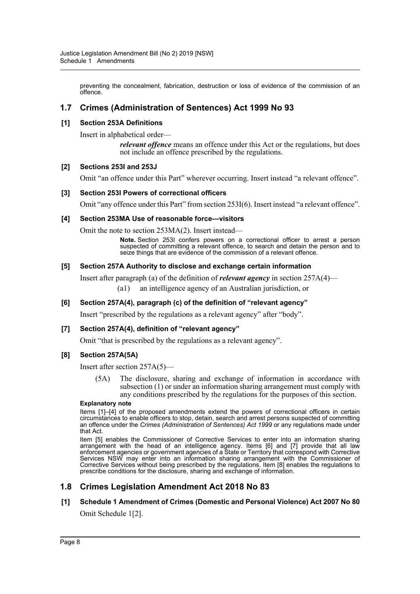preventing the concealment, fabrication, destruction or loss of evidence of the commission of an offence.

# **1.7 Crimes (Administration of Sentences) Act 1999 No 93**

### **[1] Section 253A Definitions**

Insert in alphabetical order—

*relevant offence* means an offence under this Act or the regulations, but does not include an offence prescribed by the regulations.

#### **[2] Sections 253I and 253J**

Omit "an offence under this Part" wherever occurring. Insert instead "a relevant offence".

#### **[3] Section 253I Powers of correctional officers**

Omit "any offence under this Part" from section 253I(6). Insert instead "a relevant offence".

#### **[4] Section 253MA Use of reasonable force—visitors**

Omit the note to section 253MA(2). Insert instead—

**Note.** Section 253I confers powers on a correctional officer to arrest a person suspected of committing a relevant offence, to search and detain the person and to seize things that are evidence of the commission of a relevant offence.

#### **[5] Section 257A Authority to disclose and exchange certain information**

Insert after paragraph (a) of the definition of *relevant agency* in section 257A(4)—

(a1) an intelligence agency of an Australian jurisdiction, or

#### **[6] Section 257A(4), paragraph (c) of the definition of "relevant agency"**

Insert "prescribed by the regulations as a relevant agency" after "body".

#### **[7] Section 257A(4), definition of "relevant agency"**

Omit "that is prescribed by the regulations as a relevant agency".

#### **[8] Section 257A(5A)**

Insert after section 257A(5)—

(5A) The disclosure, sharing and exchange of information in accordance with subsection (1) or under an information sharing arrangement must comply with any conditions prescribed by the regulations for the purposes of this section.

#### **Explanatory note**

Items [1]–[4] of the proposed amendments extend the powers of correctional officers in certain circumstances to enable officers to stop, detain, search and arrest persons suspected of committing an offence under the *Crimes (Administration of Sentences) Act 1999* or any regulations made under that Act.

Item [5] enables the Commissioner of Corrective Services to enter into an information sharing arrangement with the head of an intelligence agency. Items [6] and [7] provide that all law enforcement agencies or government agencies of a State or Territory that correspond with Corrective Services NSW may enter into an information sharing arrangement with the Commissioner of Corrective Services without being prescribed by the regulations. Item [8] enables the regulations to prescribe conditions for the disclosure, sharing and exchange of information.

# **1.8 Crimes Legislation Amendment Act 2018 No 83**

# **[1] Schedule 1 Amendment of Crimes (Domestic and Personal Violence) Act 2007 No 80**

Omit Schedule 1[2].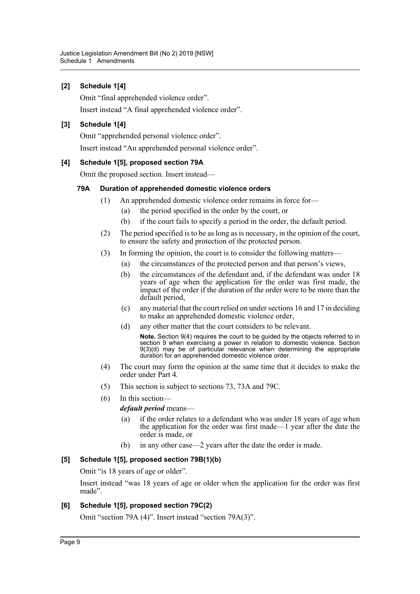# **[2] Schedule 1[4]**

Omit "final apprehended violence order".

Insert instead "A final apprehended violence order".

# **[3] Schedule 1[4]**

Omit "apprehended personal violence order".

Insert instead "An apprehended personal violence order".

# **[4] Schedule 1[5], proposed section 79A**

Omit the proposed section. Insert instead—

# **79A Duration of apprehended domestic violence orders**

- (1) An apprehended domestic violence order remains in force for—
	- (a) the period specified in the order by the court, or
	- (b) if the court fails to specify a period in the order, the default period.
- (2) The period specified is to be as long as is necessary, in the opinion of the court, to ensure the safety and protection of the protected person.
- (3) In forming the opinion, the court is to consider the following matters—
	- (a) the circumstances of the protected person and that person's views,
	- (b) the circumstances of the defendant and, if the defendant was under 18 years of age when the application for the order was first made, the impact of the order if the duration of the order were to be more than the default period,
	- (c) any material that the court relied on under sections 16 and 17 in deciding to make an apprehended domestic violence order,
	- (d) any other matter that the court considers to be relevant.

**Note.** Section 9(4) requires the court to be guided by the objects referred to in section 9 when exercising a power in relation to domestic violence. Section 9(3)(d) may be of particular relevance when determining the appropriate duration for an apprehended domestic violence order.

- (4) The court may form the opinion at the same time that it decides to make the order under Part 4.
- (5) This section is subject to sections 73, 73A and 79C.
- (6) In this section—

*default period* means—

- (a) if the order relates to a defendant who was under 18 years of age when the application for the order was first made—1 year after the date the order is made, or
- (b) in any other case—2 years after the date the order is made.

# **[5] Schedule 1[5], proposed section 79B(1)(b)**

Omit "is 18 years of age or older".

Insert instead "was 18 years of age or older when the application for the order was first made".

# **[6] Schedule 1[5], proposed section 79C(2)**

Omit "section 79A (4)". Insert instead "section 79A(3)".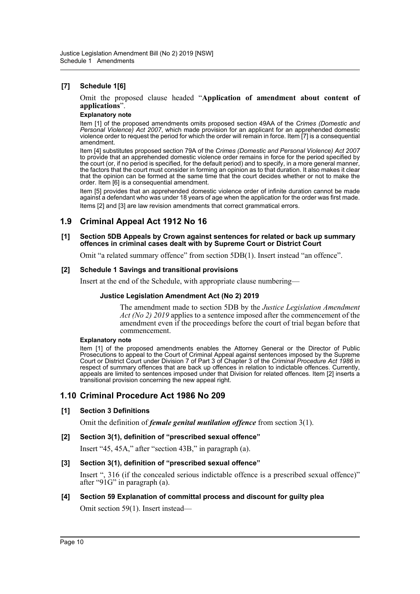### **[7] Schedule 1[6]**

Omit the proposed clause headed "**Application of amendment about content of applications**".

#### **Explanatory note**

Item [1] of the proposed amendments omits proposed section 49AA of the *Crimes (Domestic and Personal Violence) Act 2007*, which made provision for an applicant for an apprehended domestic violence order to request the period for which the order will remain in force. Item [7] is a consequential amendment.

Item [4] substitutes proposed section 79A of the *Crimes (Domestic and Personal Violence) Act 2007* to provide that an apprehended domestic violence order remains in force for the period specified by the court (or, if no period is specified, for the default period) and to specify, in a more general manner, the factors that the court must consider in forming an opinion as to that duration. It also makes it clear that the opinion can be formed at the same time that the court decides whether or not to make the order. Item [6] is a consequential amendment.

Item [5] provides that an apprehended domestic violence order of infinite duration cannot be made against a defendant who was under 18 years of age when the application for the order was first made. Items [2] and [3] are law revision amendments that correct grammatical errors.

# **1.9 Criminal Appeal Act 1912 No 16**

#### **[1] Section 5DB Appeals by Crown against sentences for related or back up summary offences in criminal cases dealt with by Supreme Court or District Court**

Omit "a related summary offence" from section 5DB(1). Insert instead "an offence".

#### **[2] Schedule 1 Savings and transitional provisions**

Insert at the end of the Schedule, with appropriate clause numbering—

#### **Justice Legislation Amendment Act (No 2) 2019**

The amendment made to section 5DB by the *Justice Legislation Amendment Act (No 2) 2019* applies to a sentence imposed after the commencement of the amendment even if the proceedings before the court of trial began before that commencement.

#### **Explanatory note**

Item [1] of the proposed amendments enables the Attorney General or the Director of Public Prosecutions to appeal to the Court of Criminal Appeal against sentences imposed by the Supreme Court or District Court under Division 7 of Part 3 of Chapter 3 of the *Criminal Procedure Act 1986* in respect of summary offences that are back up offences in relation to indictable offences. Currently, appeals are limited to sentences imposed under that Division for related offences. Item [2] inserts a transitional provision concerning the new appeal right.

# **1.10 Criminal Procedure Act 1986 No 209**

#### **[1] Section 3 Definitions**

Omit the definition of *female genital mutilation offence* from section 3(1).

#### **[2] Section 3(1), definition of "prescribed sexual offence"**

Insert "45, 45A," after "section 43B," in paragraph (a).

#### **[3] Section 3(1), definition of "prescribed sexual offence"**

Insert ", 316 (if the concealed serious indictable offence is a prescribed sexual offence)" after "91G" in paragraph (a).

# **[4] Section 59 Explanation of committal process and discount for guilty plea** Omit section 59(1). Insert instead—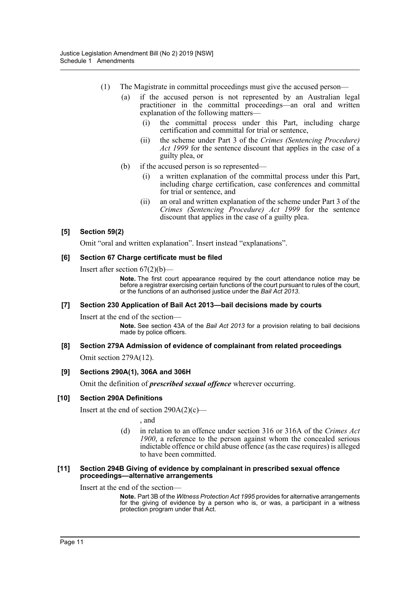- (1) The Magistrate in committal proceedings must give the accused person—
	- (a) if the accused person is not represented by an Australian legal practitioner in the committal proceedings—an oral and written explanation of the following matters—
		- (i) the committal process under this Part, including charge certification and committal for trial or sentence,
		- (ii) the scheme under Part 3 of the *Crimes (Sentencing Procedure) Act 1999* for the sentence discount that applies in the case of a guilty plea, or
	- (b) if the accused person is so represented—
		- (i) a written explanation of the committal process under this Part, including charge certification, case conferences and committal for trial or sentence, and
		- (ii) an oral and written explanation of the scheme under Part 3 of the *Crimes (Sentencing Procedure) Act 1999* for the sentence discount that applies in the case of a guilty plea.

# **[5] Section 59(2)**

Omit "oral and written explanation". Insert instead "explanations".

### **[6] Section 67 Charge certificate must be filed**

Insert after section  $67(2)(b)$ 

**Note.** The first court appearance required by the court attendance notice may be before a registrar exercising certain functions of the court pursuant to rules of the court, or the functions of an authorised justice under the *Bail Act 2013*.

# **[7] Section 230 Application of Bail Act 2013—bail decisions made by courts**

Insert at the end of the section—

**Note.** See section 43A of the *Bail Act 2013* for a provision relating to bail decisions made by police officers.

# **[8] Section 279A Admission of evidence of complainant from related proceedings**

Omit section 279A(12).

# **[9] Sections 290A(1), 306A and 306H**

Omit the definition of *prescribed sexual offence* wherever occurring.

# **[10] Section 290A Definitions**

Insert at the end of section  $290A(2)(c)$ —

, and

(d) in relation to an offence under section 316 or 316A of the *Crimes Act 1900*, a reference to the person against whom the concealed serious indictable offence or child abuse offence (as the case requires) is alleged to have been committed.

#### **[11] Section 294B Giving of evidence by complainant in prescribed sexual offence proceedings—alternative arrangements**

Insert at the end of the section—

**Note.** Part 3B of the *Witness Protection Act 1995* provides for alternative arrangements for the giving of evidence by a person who is, or was, a participant in a witness protection program under that Act.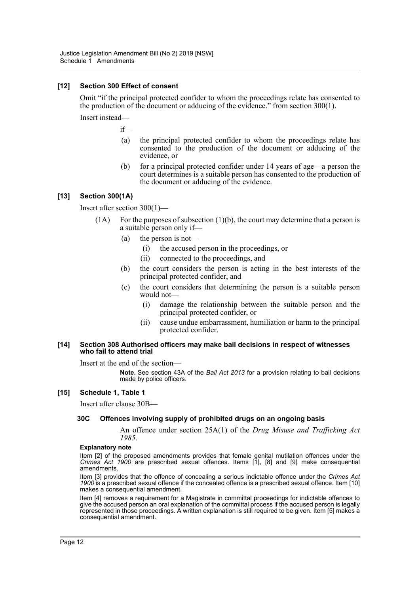### **[12] Section 300 Effect of consent**

Omit "if the principal protected confider to whom the proceedings relate has consented to the production of the document or adducing of the evidence." from section 300(1).

Insert instead—

if—

- (a) the principal protected confider to whom the proceedings relate has consented to the production of the document or adducing of the evidence, or
- (b) for a principal protected confider under 14 years of age—a person the court determines is a suitable person has consented to the production of the document or adducing of the evidence.

### **[13] Section 300(1A)**

Insert after section 300(1)—

- (1A) For the purposes of subsection (1)(b), the court may determine that a person is a suitable person only if—
	- (a) the person is not—
		- (i) the accused person in the proceedings, or
		- (ii) connected to the proceedings, and
	- (b) the court considers the person is acting in the best interests of the principal protected confider, and
	- (c) the court considers that determining the person is a suitable person would not—
		- (i) damage the relationship between the suitable person and the principal protected confider, or
		- (ii) cause undue embarrassment, humiliation or harm to the principal protected confider.

#### **[14] Section 308 Authorised officers may make bail decisions in respect of witnesses who fail to attend trial**

Insert at the end of the section—

**Note.** See section 43A of the *Bail Act 2013* for a provision relating to bail decisions made by police officers.

#### **[15] Schedule 1, Table 1**

Insert after clause 30B—

#### **30C Offences involving supply of prohibited drugs on an ongoing basis**

An offence under section 25A(1) of the *Drug Misuse and Trafficking Act 1985*.

#### **Explanatory note**

Item [2] of the proposed amendments provides that female genital mutilation offences under the *Crimes Act 1900* are prescribed sexual offences. Items [1], [8] and [9] make consequential amendments.

Item [3] provides that the offence of concealing a serious indictable offence under the *Crimes Act 1900* is a prescribed sexual offence if the concealed offence is a prescribed sexual offence. Item [10] makes a consequential amendment.

Item [4] removes a requirement for a Magistrate in committal proceedings for indictable offences to give the accused person an oral explanation of the committal process if the accused person is legally represented in those proceedings. A written explanation is still required to be given. Item [5] makes a consequential amendment.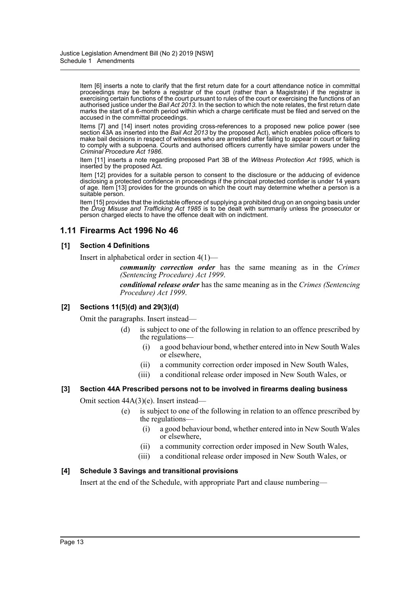Item [6] inserts a note to clarify that the first return date for a court attendance notice in committal proceedings may be before a registrar of the court (rather than a Magistrate) if the registrar is exercising certain functions of the court pursuant to rules of the court or exercising the functions of an authorised justice under the *Bail Act 2013*. In the section to which the note relates, the first return date marks the start of a 6-month period within which a charge certificate must be filed and served on the accused in the committal proceedings.

Items [7] and [14] insert notes providing cross-references to a proposed new police power (see section 43A as inserted into the *Bail Act 2013* by the proposed Act), which enables police officers to make bail decisions in respect of witnesses who are arrested after failing to appear in court or failing to comply with a subpoena. Courts and authorised officers currently have similar powers under the *Criminal Procedure Act 1986*.

Item [11] inserts a note regarding proposed Part 3B of the *Witness Protection Act 1995*, which is inserted by the proposed Act.

Item [12] provides for a suitable person to consent to the disclosure or the adducing of evidence disclosing a protected confidence in proceedings if the principal protected confider is under 14 years of age. Item [13] provides for the grounds on which the court may determine whether a person is a suitable person.

Item [15] provides that the indictable offence of supplying a prohibited drug on an ongoing basis under the *Drug Misuse and Trafficking Act 1985* is to be dealt with summarily unless the prosecutor or person charged elects to have the offence dealt with on indictment.

# **1.11 Firearms Act 1996 No 46**

### **[1] Section 4 Definitions**

Insert in alphabetical order in section 4(1)—

*community correction order* has the same meaning as in the *Crimes (Sentencing Procedure) Act 1999*.

*conditional release order* has the same meaning as in the *Crimes (Sentencing Procedure) Act 1999*.

#### **[2] Sections 11(5)(d) and 29(3)(d)**

Omit the paragraphs. Insert instead—

- (d) is subject to one of the following in relation to an offence prescribed by the regulations—
	- (i) a good behaviour bond, whether entered into in New South Wales or elsewhere,
	- (ii) a community correction order imposed in New South Wales,
	- (iii) a conditional release order imposed in New South Wales, or

# **[3] Section 44A Prescribed persons not to be involved in firearms dealing business**

Omit section 44A(3)(e). Insert instead—

- (e) is subject to one of the following in relation to an offence prescribed by the regulations—
	- (i) a good behaviour bond, whether entered into in New South Wales or elsewhere,
	- (ii) a community correction order imposed in New South Wales,
	- (iii) a conditional release order imposed in New South Wales, or

#### **[4] Schedule 3 Savings and transitional provisions**

Insert at the end of the Schedule, with appropriate Part and clause numbering—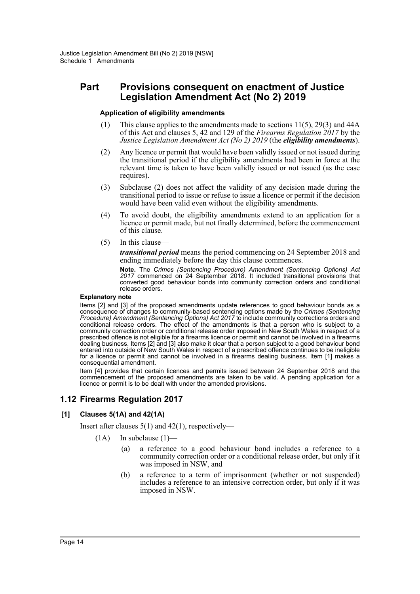# **Part Provisions consequent on enactment of Justice Legislation Amendment Act (No 2) 2019**

#### **Application of eligibility amendments**

- (1) This clause applies to the amendments made to sections 11(5), 29(3) and 44A of this Act and clauses 5, 42 and 129 of the *Firearms Regulation 2017* by the *Justice Legislation Amendment Act (No 2) 2019* (the *eligibility amendments*).
- (2) Any licence or permit that would have been validly issued or not issued during the transitional period if the eligibility amendments had been in force at the relevant time is taken to have been validly issued or not issued (as the case requires).
- (3) Subclause (2) does not affect the validity of any decision made during the transitional period to issue or refuse to issue a licence or permit if the decision would have been valid even without the eligibility amendments.
- (4) To avoid doubt, the eligibility amendments extend to an application for a licence or permit made, but not finally determined, before the commencement of this clause.
- (5) In this clause—

*transitional period* means the period commencing on 24 September 2018 and ending immediately before the day this clause commences.

**Note.** The *Crimes (Sentencing Procedure) Amendment (Sentencing Options) Act 2017* commenced on 24 September 2018. It included transitional provisions that converted good behaviour bonds into community correction orders and conditional release orders.

#### **Explanatory note**

Items [2] and [3] of the proposed amendments update references to good behaviour bonds as a consequence of changes to community-based sentencing options made by the *Crimes (Sentencing Procedure) Amendment (Sentencing Options) Act 2017* to include community corrections orders and conditional release orders. The effect of the amendments is that a person who is subject to a community correction order or conditional release order imposed in New South Wales in respect of a prescribed offence is not eligible for a firearms licence or permit and cannot be involved in a firearms dealing business. Items [2] and [3] also make it clear that a person subject to a good behaviour bond entered into outside of New South Wales in respect of a prescribed offence continues to be ineligible for a licence or permit and cannot be involved in a firearms dealing business. Item [1] makes a consequential amendment.

Item [4] provides that certain licences and permits issued between 24 September 2018 and the commencement of the proposed amendments are taken to be valid. A pending application for a licence or permit is to be dealt with under the amended provisions.

# **1.12 Firearms Regulation 2017**

#### **[1] Clauses 5(1A) and 42(1A)**

Insert after clauses 5(1) and 42(1), respectively—

- $(1A)$  In subclause  $(1)$ 
	- (a) a reference to a good behaviour bond includes a reference to a community correction order or a conditional release order, but only if it was imposed in NSW, and
	- (b) a reference to a term of imprisonment (whether or not suspended) includes a reference to an intensive correction order, but only if it was imposed in NSW.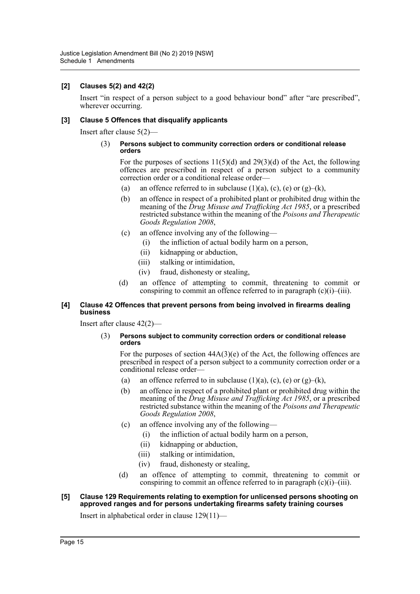### **[2] Clauses 5(2) and 42(2)**

Insert "in respect of a person subject to a good behaviour bond" after "are prescribed", wherever occurring.

### **[3] Clause 5 Offences that disqualify applicants**

Insert after clause 5(2)—

#### (3) **Persons subject to community correction orders or conditional release orders**

For the purposes of sections  $11(5)(d)$  and  $29(3)(d)$  of the Act, the following offences are prescribed in respect of a person subject to a community correction order or a conditional release order—

- (a) an offence referred to in subclause  $(1)(a)$ ,  $(c)$ ,  $(e)$  or  $(g)$ – $(k)$ ,
- (b) an offence in respect of a prohibited plant or prohibited drug within the meaning of the *Drug Misuse and Trafficking Act 1985*, or a prescribed restricted substance within the meaning of the *Poisons and Therapeutic Goods Regulation 2008*,
- (c) an offence involving any of the following—
	- (i) the infliction of actual bodily harm on a person,
	- (ii) kidnapping or abduction,
	- (iii) stalking or intimidation,
	- (iv) fraud, dishonesty or stealing,
- (d) an offence of attempting to commit, threatening to commit or conspiring to commit an offence referred to in paragraph  $(c)(i)$ – $(iii)$ .

#### **[4] Clause 42 Offences that prevent persons from being involved in firearms dealing business**

Insert after clause 42(2)—

#### (3) **Persons subject to community correction orders or conditional release orders**

For the purposes of section  $44A(3)(e)$  of the Act, the following offences are prescribed in respect of a person subject to a community correction order or a conditional release order—

- (a) an offence referred to in subclause (1)(a), (c), (e) or  $(g)$ –(k),
- (b) an offence in respect of a prohibited plant or prohibited drug within the meaning of the *Drug Misuse and Trafficking Act 1985*, or a prescribed restricted substance within the meaning of the *Poisons and Therapeutic Goods Regulation 2008*,
- (c) an offence involving any of the following—
	- (i) the infliction of actual bodily harm on a person,
	- (ii) kidnapping or abduction,
	- (iii) stalking or intimidation,
	- (iv) fraud, dishonesty or stealing,
- (d) an offence of attempting to commit, threatening to commit or conspiring to commit an offence referred to in paragraph  $(c)(i)$ – $(iii)$ .

#### **[5] Clause 129 Requirements relating to exemption for unlicensed persons shooting on approved ranges and for persons undertaking firearms safety training courses**

Insert in alphabetical order in clause 129(11)—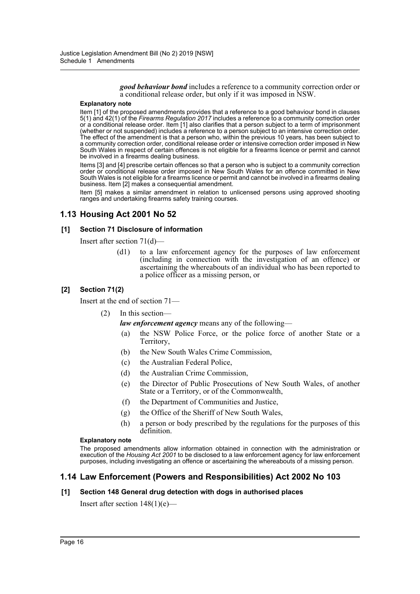*good behaviour bond* includes a reference to a community correction order or a conditional release order, but only if it was imposed in NSW.

#### **Explanatory note**

Item [1] of the proposed amendments provides that a reference to a good behaviour bond in clauses 5(1) and 42(1) of the *Firearms Regulation 2017* includes a reference to a community correction order or a conditional release order. Item [1] also clarifies that a person subject to a term of imprisonment (whether or not suspended) includes a reference to a person subject to an intensive correction order. The effect of the amendment is that a person who, within the previous 10 years, has been subject to a community correction order, conditional release order or intensive correction order imposed in New South Wales in respect of certain offences is not eligible for a firearms licence or permit and cannot be involved in a firearms dealing business.

Items [3] and [4] prescribe certain offences so that a person who is subject to a community correction order or conditional release order imposed in New South Wales for an offence committed in New South Wales is not eligible for a firearms licence or permit and cannot be involved in a firearms dealing business. Item [2] makes a consequential amendment.

Item [5] makes a similar amendment in relation to unlicensed persons using approved shooting ranges and undertaking firearms safety training courses.

# **1.13 Housing Act 2001 No 52**

#### **[1] Section 71 Disclosure of information**

Insert after section 71(d)—

(d1) to a law enforcement agency for the purposes of law enforcement (including in connection with the investigation of an offence) or ascertaining the whereabouts of an individual who has been reported to a police officer as a missing person, or

#### **[2] Section 71(2)**

Insert at the end of section 71—

(2) In this section—

*law enforcement agency* means any of the following—

- (a) the NSW Police Force, or the police force of another State or a Territory,
- (b) the New South Wales Crime Commission,
- (c) the Australian Federal Police,
- (d) the Australian Crime Commission,
- (e) the Director of Public Prosecutions of New South Wales, of another State or a Territory, or of the Commonwealth,
- (f) the Department of Communities and Justice,
- (g) the Office of the Sheriff of New South Wales,
- (h) a person or body prescribed by the regulations for the purposes of this definition.

#### **Explanatory note**

The proposed amendments allow information obtained in connection with the administration or execution of the *Housing Act 2001* to be disclosed to a law enforcement agency for law enforcement purposes, including investigating an offence or ascertaining the whereabouts of a missing person.

# **1.14 Law Enforcement (Powers and Responsibilities) Act 2002 No 103**

#### **[1] Section 148 General drug detection with dogs in authorised places**

Insert after section  $148(1)(e)$ —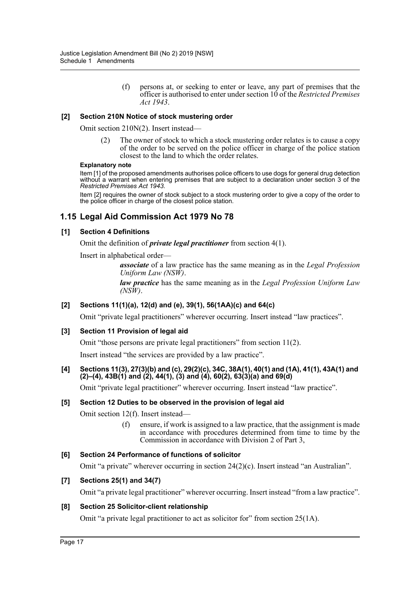(f) persons at, or seeking to enter or leave, any part of premises that the officer is authorised to enter under section 10 of the *Restricted Premises Act 1943*.

### **[2] Section 210N Notice of stock mustering order**

Omit section 210N(2). Insert instead—

(2) The owner of stock to which a stock mustering order relates is to cause a copy of the order to be served on the police officer in charge of the police station closest to the land to which the order relates.

#### **Explanatory note**

Item [1] of the proposed amendments authorises police officers to use dogs for general drug detection without a warrant when entering premises that are subject to a declaration under section 3 of the *Restricted Premises Act 1943*.

Item [2] requires the owner of stock subject to a stock mustering order to give a copy of the order to the police officer in charge of the closest police station.

# **1.15 Legal Aid Commission Act 1979 No 78**

#### **[1] Section 4 Definitions**

Omit the definition of *private legal practitioner* from section 4(1).

Insert in alphabetical order—

*associate* of a law practice has the same meaning as in the *Legal Profession Uniform Law (NSW)*.

*law practice* has the same meaning as in the *Legal Profession Uniform Law (NSW)*.

#### **[2] Sections 11(1)(a), 12(d) and (e), 39(1), 56(1AA)(c) and 64(c)**

Omit "private legal practitioners" wherever occurring. Insert instead "law practices".

#### **[3] Section 11 Provision of legal aid**

Omit "those persons are private legal practitioners" from section 11(2).

Insert instead "the services are provided by a law practice".

#### **[4] Sections 11(3), 27(3)(b) and (c), 29(2)(c), 34C, 38A(1), 40(1) and (1A), 41(1), 43A(1) and (2)–(4), 43B(1) and (2), 44(1), (3) and (4), 60(2), 63(3)(a) and 69(d)**

Omit "private legal practitioner" wherever occurring. Insert instead "law practice".

#### **[5] Section 12 Duties to be observed in the provision of legal aid**

Omit section 12(f). Insert instead—

(f) ensure, if work is assigned to a law practice, that the assignment is made in accordance with procedures determined from time to time by the Commission in accordance with Division 2 of Part 3,

#### **[6] Section 24 Performance of functions of solicitor**

Omit "a private" wherever occurring in section 24(2)(c). Insert instead "an Australian".

#### **[7] Sections 25(1) and 34(7)**

Omit "a private legal practitioner" wherever occurring. Insert instead "from a law practice".

#### **[8] Section 25 Solicitor-client relationship**

Omit "a private legal practitioner to act as solicitor for" from section 25(1A).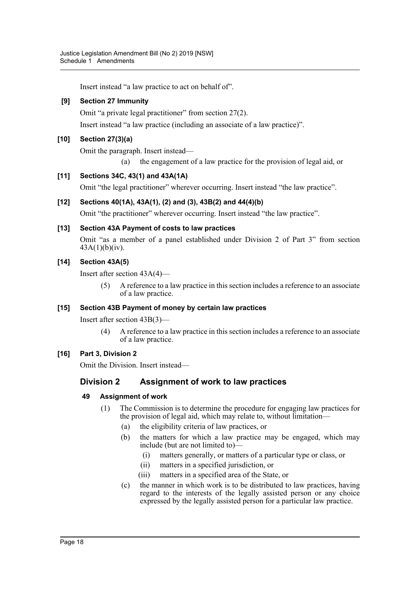Insert instead "a law practice to act on behalf of".

# **[9] Section 27 Immunity**

Omit "a private legal practitioner" from section 27(2).

Insert instead "a law practice (including an associate of a law practice)".

# **[10] Section 27(3)(a)**

Omit the paragraph. Insert instead—

(a) the engagement of a law practice for the provision of legal aid, or

# **[11] Sections 34C, 43(1) and 43A(1A)**

Omit "the legal practitioner" wherever occurring. Insert instead "the law practice".

# **[12] Sections 40(1A), 43A(1), (2) and (3), 43B(2) and 44(4)(b)**

Omit "the practitioner" wherever occurring. Insert instead "the law practice".

# **[13] Section 43A Payment of costs to law practices**

Omit "as a member of a panel established under Division 2 of Part 3" from section  $43A(1)(b)(iv)$ .

# **[14] Section 43A(5)**

Insert after section 43A(4)—

(5) A reference to a law practice in this section includes a reference to an associate of a law practice.

# **[15] Section 43B Payment of money by certain law practices**

Insert after section 43B(3)—

(4) A reference to a law practice in this section includes a reference to an associate of a law practice.

# **[16] Part 3, Division 2**

Omit the Division. Insert instead—

# **Division 2 Assignment of work to law practices**

# **49 Assignment of work**

- (1) The Commission is to determine the procedure for engaging law practices for the provision of legal aid, which may relate to, without limitation—
	- (a) the eligibility criteria of law practices, or
	- (b) the matters for which a law practice may be engaged, which may include (but are not limited to)—
		- (i) matters generally, or matters of a particular type or class, or
		- (ii) matters in a specified jurisdiction, or
		- (iii) matters in a specified area of the State, or
	- (c) the manner in which work is to be distributed to law practices, having regard to the interests of the legally assisted person or any choice expressed by the legally assisted person for a particular law practice.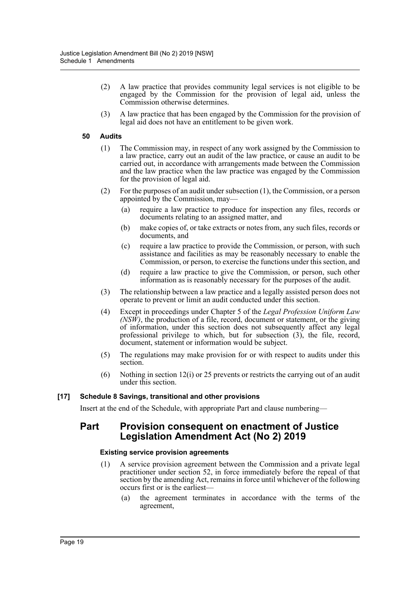- (2) A law practice that provides community legal services is not eligible to be engaged by the Commission for the provision of legal aid, unless the Commission otherwise determines.
- (3) A law practice that has been engaged by the Commission for the provision of legal aid does not have an entitlement to be given work.

### **50 Audits**

- (1) The Commission may, in respect of any work assigned by the Commission to a law practice, carry out an audit of the law practice, or cause an audit to be carried out, in accordance with arrangements made between the Commission and the law practice when the law practice was engaged by the Commission for the provision of legal aid.
- (2) For the purposes of an audit under subsection (1), the Commission, or a person appointed by the Commission, may—
	- (a) require a law practice to produce for inspection any files, records or documents relating to an assigned matter, and
	- (b) make copies of, or take extracts or notes from, any such files, records or documents, and
	- (c) require a law practice to provide the Commission, or person, with such assistance and facilities as may be reasonably necessary to enable the Commission, or person, to exercise the functions under this section, and
	- (d) require a law practice to give the Commission, or person, such other information as is reasonably necessary for the purposes of the audit.
- (3) The relationship between a law practice and a legally assisted person does not operate to prevent or limit an audit conducted under this section.
- (4) Except in proceedings under Chapter 5 of the *Legal Profession Uniform Law (NSW)*, the production of a file, record, document or statement, or the giving of information, under this section does not subsequently affect any legal professional privilege to which, but for subsection (3), the file, record, document, statement or information would be subject.
- (5) The regulations may make provision for or with respect to audits under this section.
- (6) Nothing in section 12(i) or 25 prevents or restricts the carrying out of an audit under this section.

#### **[17] Schedule 8 Savings, transitional and other provisions**

Insert at the end of the Schedule, with appropriate Part and clause numbering—

# **Part Provision consequent on enactment of Justice Legislation Amendment Act (No 2) 2019**

#### **Existing service provision agreements**

- (1) A service provision agreement between the Commission and a private legal practitioner under section 52, in force immediately before the repeal of that section by the amending Act, remains in force until whichever of the following occurs first or is the earliest—
	- (a) the agreement terminates in accordance with the terms of the agreement,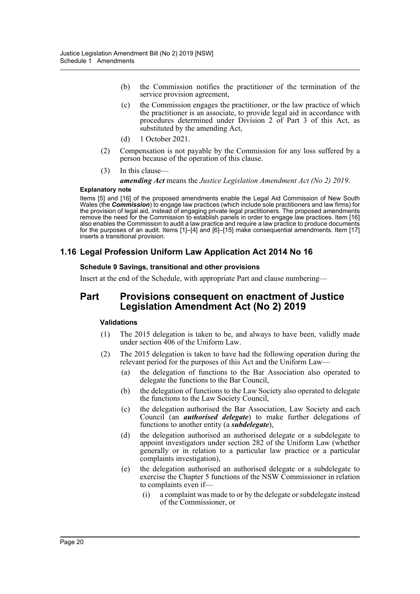- (b) the Commission notifies the practitioner of the termination of the service provision agreement,
- (c) the Commission engages the practitioner, or the law practice of which the practitioner is an associate, to provide legal aid in accordance with procedures determined under Division 2 of Part 3 of this Act, as substituted by the amending Act,
- (d) 1 October 2021.
- (2) Compensation is not payable by the Commission for any loss suffered by a person because of the operation of this clause.
- (3) In this clause—

*amending Act* means the *Justice Legislation Amendment Act (No 2) 2019*.

#### **Explanatory note**

Items [5] and [16] of the proposed amendments enable the Legal Aid Commission of New South Wales (the *Commission*) to engage law practices (which include sole practitioners and law firms) for the provision of legal aid, instead of engaging private legal practitioners. The proposed amendments remove the need for the Commission to establish panels in order to engage law practices. Item [16] also enables the Commission to audit a law practice and require a law practice to produce documents for the purposes of an audit. Items [1]–[4] and [6]–[15] make consequential amendments. Item [17] inserts a transitional provision.

# **1.16 Legal Profession Uniform Law Application Act 2014 No 16**

#### **Schedule 9 Savings, transitional and other provisions**

Insert at the end of the Schedule, with appropriate Part and clause numbering—

# **Part Provisions consequent on enactment of Justice Legislation Amendment Act (No 2) 2019**

#### **Validations**

- (1) The 2015 delegation is taken to be, and always to have been, validly made under section 406 of the Uniform Law.
- (2) The 2015 delegation is taken to have had the following operation during the relevant period for the purposes of this Act and the Uniform Law—
	- (a) the delegation of functions to the Bar Association also operated to delegate the functions to the Bar Council,
	- (b) the delegation of functions to the Law Society also operated to delegate the functions to the Law Society Council,
	- (c) the delegation authorised the Bar Association, Law Society and each Council (an *authorised delegate*) to make further delegations of functions to another entity (a *subdelegate*),
	- (d) the delegation authorised an authorised delegate or a subdelegate to appoint investigators under section 282 of the Uniform Law (whether generally or in relation to a particular law practice or a particular complaints investigation),
	- (e) the delegation authorised an authorised delegate or a subdelegate to exercise the Chapter 5 functions of the NSW Commissioner in relation to complaints even if—
		- (i) a complaint was made to or by the delegate or subdelegate instead of the Commissioner, or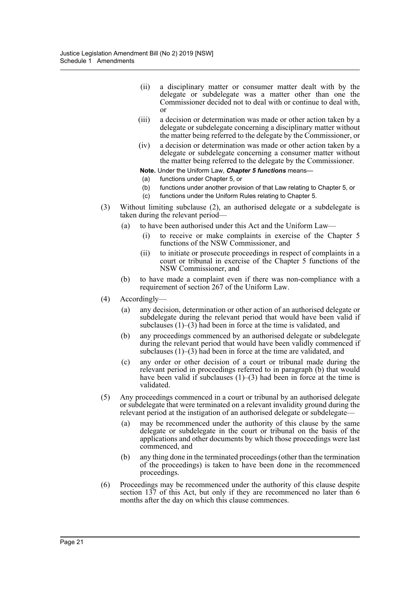- (ii) a disciplinary matter or consumer matter dealt with by the delegate or subdelegate was a matter other than one the Commissioner decided not to deal with or continue to deal with, or
- (iii) a decision or determination was made or other action taken by a delegate or subdelegate concerning a disciplinary matter without the matter being referred to the delegate by the Commissioner, or
- (iv) a decision or determination was made or other action taken by a delegate or subdelegate concerning a consumer matter without the matter being referred to the delegate by the Commissioner.
- **Note.** Under the Uniform Law, *Chapter 5 functions* means—
- (a) functions under Chapter 5, or
- (b) functions under another provision of that Law relating to Chapter 5, or
- (c) functions under the Uniform Rules relating to Chapter 5.
- (3) Without limiting subclause (2), an authorised delegate or a subdelegate is taken during the relevant period—
	- (a) to have been authorised under this Act and the Uniform Law—
		- (i) to receive or make complaints in exercise of the Chapter 5 functions of the NSW Commissioner, and
		- (ii) to initiate or prosecute proceedings in respect of complaints in a court or tribunal in exercise of the Chapter 5 functions of the NSW Commissioner, and
	- (b) to have made a complaint even if there was non-compliance with a requirement of section 267 of the Uniform Law.
- (4) Accordingly—
	- (a) any decision, determination or other action of an authorised delegate or subdelegate during the relevant period that would have been valid if subclauses  $(1)$ – $(3)$  had been in force at the time is validated, and
	- (b) any proceedings commenced by an authorised delegate or subdelegate during the relevant period that would have been validly commenced if subclauses  $(1)$ – $(3)$  had been in force at the time are validated, and
	- (c) any order or other decision of a court or tribunal made during the relevant period in proceedings referred to in paragraph (b) that would have been valid if subclauses  $(1)$ – $(3)$  had been in force at the time is validated.
- (5) Any proceedings commenced in a court or tribunal by an authorised delegate or subdelegate that were terminated on a relevant invalidity ground during the relevant period at the instigation of an authorised delegate or subdelegate—
	- (a) may be recommenced under the authority of this clause by the same delegate or subdelegate in the court or tribunal on the basis of the applications and other documents by which those proceedings were last commenced, and
	- (b) any thing done in the terminated proceedings (other than the termination of the proceedings) is taken to have been done in the recommenced proceedings.
- (6) Proceedings may be recommenced under the authority of this clause despite section 137 of this Act, but only if they are recommenced no later than 6 months after the day on which this clause commences.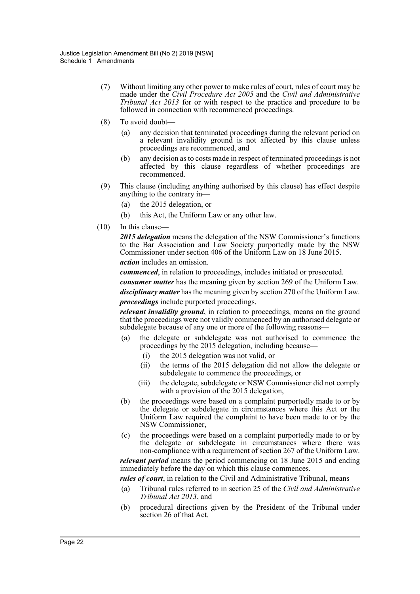- (7) Without limiting any other power to make rules of court, rules of court may be made under the *Civil Procedure Act 2005* and the *Civil and Administrative Tribunal Act 2013* for or with respect to the practice and procedure to be followed in connection with recommenced proceedings.
- (8) To avoid doubt—
	- (a) any decision that terminated proceedings during the relevant period on a relevant invalidity ground is not affected by this clause unless proceedings are recommenced, and
	- (b) any decision as to costs made in respect of terminated proceedings is not affected by this clause regardless of whether proceedings are recommenced.
- (9) This clause (including anything authorised by this clause) has effect despite anything to the contrary in—
	- (a) the 2015 delegation, or
	- (b) this Act, the Uniform Law or any other law.
- (10) In this clause—

*2015 delegation* means the delegation of the NSW Commissioner's functions to the Bar Association and Law Society purportedly made by the NSW Commissioner under section 406 of the Uniform Law on 18 June 2015. *action* includes an omission.

*commenced*, in relation to proceedings, includes initiated or prosecuted.

*consumer matter* has the meaning given by section 269 of the Uniform Law. *disciplinary matter* has the meaning given by section 270 of the Uniform Law. *proceedings* include purported proceedings.

*relevant invalidity ground*, in relation to proceedings, means on the ground that the proceedings were not validly commenced by an authorised delegate or subdelegate because of any one or more of the following reasons-

- (a) the delegate or subdelegate was not authorised to commence the proceedings by the 2015 delegation, including because—
	- (i) the 2015 delegation was not valid, or
	- (ii) the terms of the 2015 delegation did not allow the delegate or subdelegate to commence the proceedings, or
	- (iii) the delegate, subdelegate or NSW Commissioner did not comply with a provision of the 2015 delegation,
- (b) the proceedings were based on a complaint purportedly made to or by the delegate or subdelegate in circumstances where this Act or the Uniform Law required the complaint to have been made to or by the NSW Commissioner,
- (c) the proceedings were based on a complaint purportedly made to or by the delegate or subdelegate in circumstances where there was non-compliance with a requirement of section 267 of the Uniform Law.

*relevant period* means the period commencing on 18 June 2015 and ending immediately before the day on which this clause commences.

*rules of court*, in relation to the Civil and Administrative Tribunal, means—

- (a) Tribunal rules referred to in section 25 of the *Civil and Administrative Tribunal Act 2013*, and
- (b) procedural directions given by the President of the Tribunal under section 26 of that Act.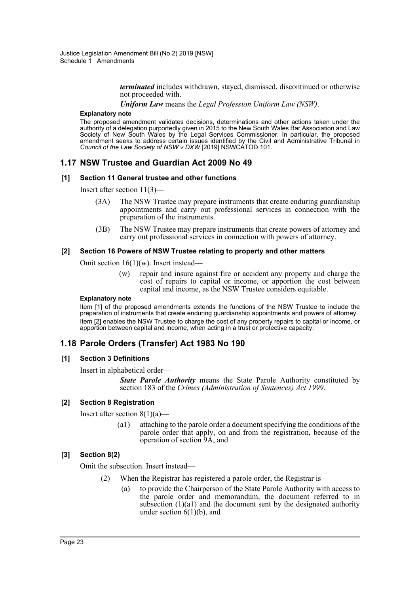*terminated* includes withdrawn, stayed, dismissed, discontinued or otherwise not proceeded with.

*Uniform Law* means the *Legal Profession Uniform Law (NSW)*.

#### **Explanatory note**

The proposed amendment validates decisions, determinations and other actions taken under the authority of a delegation purportedly given in 2015 to the New South Wales Bar Association and Law Society of New South Wales by the Legal Services Commissioner. In particular, the proposed amendment seeks to address certain issues identified by the Civil and Administrative Tribunal in *Council of the Law Society of NSW v DXW* [2019] NSWCATOD 101.

# **1.17 NSW Trustee and Guardian Act 2009 No 49**

#### **[1] Section 11 General trustee and other functions**

Insert after section 11(3)—

- (3A) The NSW Trustee may prepare instruments that create enduring guardianship appointments and carry out professional services in connection with the preparation of the instruments.
- (3B) The NSW Trustee may prepare instruments that create powers of attorney and carry out professional services in connection with powers of attorney.

#### **[2] Section 16 Powers of NSW Trustee relating to property and other matters**

Omit section 16(1)(w). Insert instead—

(w) repair and insure against fire or accident any property and charge the cost of repairs to capital or income, or apportion the cost between capital and income, as the NSW Trustee considers equitable.

#### **Explanatory note**

Item [1] of the proposed amendments extends the functions of the NSW Trustee to include the preparation of instruments that create enduring guardianship appointments and powers of attorney. Item [2] enables the NSW Trustee to charge the cost of any property repairs to capital or income, or apportion between capital and income, when acting in a trust or protective capacity.

# **1.18 Parole Orders (Transfer) Act 1983 No 190**

#### **[1] Section 3 Definitions**

Insert in alphabetical order—

*State Parole Authority* means the State Parole Authority constituted by section 183 of the *Crimes (Administration of Sentences) Act 1999*.

#### **[2] Section 8 Registration**

Insert after section  $8(1)(a)$ —

(a1) attaching to the parole order a document specifying the conditions of the parole order that apply, on and from the registration, because of the operation of section 9A, and

#### **[3] Section 8(2)**

Omit the subsection. Insert instead—

- (2) When the Registrar has registered a parole order, the Registrar is—
	- (a) to provide the Chairperson of the State Parole Authority with access to the parole order and memorandum, the document referred to in subsection  $(1)(a1)$  and the document sent by the designated authority under section  $6(1)(b)$ , and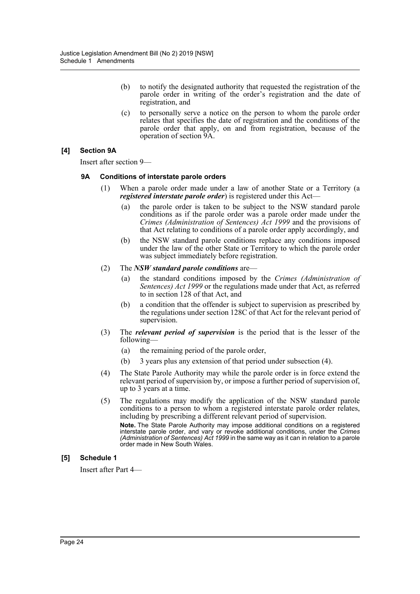- (b) to notify the designated authority that requested the registration of the parole order in writing of the order's registration and the date of registration, and
- (c) to personally serve a notice on the person to whom the parole order relates that specifies the date of registration and the conditions of the parole order that apply, on and from registration, because of the operation of section 9A.

# **[4] Section 9A**

Insert after section 9—

### **9A Conditions of interstate parole orders**

- (1) When a parole order made under a law of another State or a Territory (a *registered interstate parole order*) is registered under this Act—
	- (a) the parole order is taken to be subject to the NSW standard parole conditions as if the parole order was a parole order made under the *Crimes (Administration of Sentences) Act 1999* and the provisions of that Act relating to conditions of a parole order apply accordingly, and
	- (b) the NSW standard parole conditions replace any conditions imposed under the law of the other State or Territory to which the parole order was subject immediately before registration.
- (2) The *NSW standard parole conditions* are—
	- (a) the standard conditions imposed by the *Crimes (Administration of Sentences) Act 1999* or the regulations made under that Act, as referred to in section 128 of that Act, and
	- (b) a condition that the offender is subject to supervision as prescribed by the regulations under section 128C of that Act for the relevant period of supervision.
- (3) The *relevant period of supervision* is the period that is the lesser of the following—
	- (a) the remaining period of the parole order,
	- (b) 3 years plus any extension of that period under subsection (4).
- (4) The State Parole Authority may while the parole order is in force extend the relevant period of supervision by, or impose a further period of supervision of, up to 3 years at a time.
- (5) The regulations may modify the application of the NSW standard parole conditions to a person to whom a registered interstate parole order relates, including by prescribing a different relevant period of supervision. **Note.** The State Parole Authority may impose additional conditions on a registered interstate parole order, and vary or revoke additional conditions, under the *Crimes (Administration of Sentences) Act 1999* in the same way as it can in relation to a parole order made in New South Wales.

# **[5] Schedule 1**

Insert after Part 4—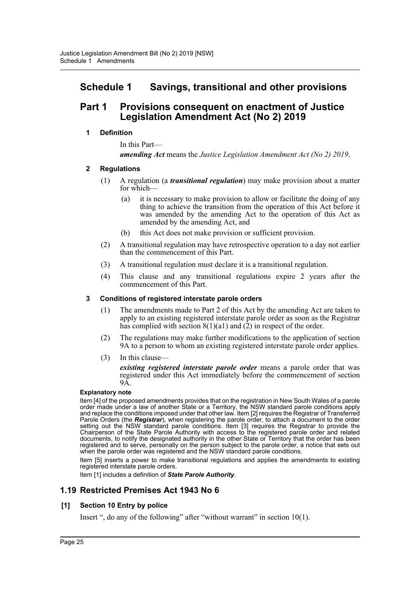# **Schedule 1 Savings, transitional and other provisions**

# **Part 1 Provisions consequent on enactment of Justice Legislation Amendment Act (No 2) 2019**

# **1 Definition**

In this Part—

*amending Act* means the *Justice Legislation Amendment Act (No 2) 2019*.

# **2 Regulations**

- (1) A regulation (a *transitional regulation*) may make provision about a matter for which-
	- (a) it is necessary to make provision to allow or facilitate the doing of any thing to achieve the transition from the operation of this Act before it was amended by the amending Act to the operation of this Act as amended by the amending Act, and
	- (b) this Act does not make provision or sufficient provision.
- (2) A transitional regulation may have retrospective operation to a day not earlier than the commencement of this Part.
- (3) A transitional regulation must declare it is a transitional regulation.
- (4) This clause and any transitional regulations expire 2 years after the commencement of this Part.

# **3 Conditions of registered interstate parole orders**

- (1) The amendments made to Part 2 of this Act by the amending Act are taken to apply to an existing registered interstate parole order as soon as the Registrar has complied with section  $8(1)(a1)$  and (2) in respect of the order.
- (2) The regulations may make further modifications to the application of section 9A to a person to whom an existing registered interstate parole order applies.
- (3) In this clause—

*existing registered interstate parole order* means a parole order that was registered under this Act immediately before the commencement of section 9A.

#### **Explanatory note**

Item [4] of the proposed amendments provides that on the registration in New South Wales of a parole order made under a law of another State or a Territory, the NSW standard parole conditions apply and replace the conditions imposed under that other law. Item [2] requires the Registrar of Transferred Parole Orders (the *Registrar*), when registering the parole order, to attach a document to the order setting out the NSW standard parole conditions. Item [3] requires the Registrar to provide the Chairperson of the State Parole Authority with access to the registered parole order and related documents, to notify the designated authority in the other State or Territory that the order has been registered and to serve, personally on the person subject to the parole order, a notice that sets out when the parole order was registered and the NSW standard parole conditions.

Item [5] inserts a power to make transitional regulations and applies the amendments to existing registered interstate parole orders.

Item [1] includes a definition of *State Parole Authority*.

# **1.19 Restricted Premises Act 1943 No 6**

# **[1] Section 10 Entry by police**

Insert ", do any of the following" after "without warrant" in section 10(1).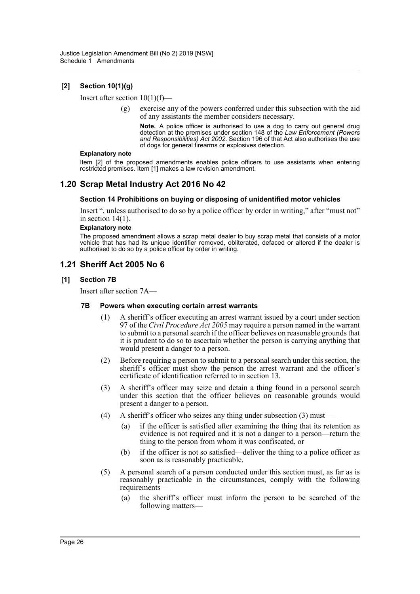# **[2] Section 10(1)(g)**

Insert after section  $10(1)(f)$ —

(g) exercise any of the powers conferred under this subsection with the aid of any assistants the member considers necessary.

**Note.** A police officer is authorised to use a dog to carry out general drug detection at the premises under section 148 of the *Law Enforcement (Powers and Responsibilities) Act 2002*. Section 196 of that Act also authorises the use of dogs for general firearms or explosives detection.

#### **Explanatory note**

Item [2] of the proposed amendments enables police officers to use assistants when entering restricted premises. Item [1] makes a law revision amendment.

# **1.20 Scrap Metal Industry Act 2016 No 42**

#### **Section 14 Prohibitions on buying or disposing of unidentified motor vehicles**

Insert ", unless authorised to do so by a police officer by order in writing," after "must not" in section 14(1).

#### **Explanatory note**

The proposed amendment allows a scrap metal dealer to buy scrap metal that consists of a motor vehicle that has had its unique identifier removed, obliterated, defaced or altered if the dealer is authorised to do so by a police officer by order in writing.

# **1.21 Sheriff Act 2005 No 6**

#### **[1] Section 7B**

Insert after section 7A—

#### **7B Powers when executing certain arrest warrants**

- (1) A sheriff's officer executing an arrest warrant issued by a court under section 97 of the *Civil Procedure Act 2005* may require a person named in the warrant to submit to a personal search if the officer believes on reasonable grounds that it is prudent to do so to ascertain whether the person is carrying anything that would present a danger to a person.
- (2) Before requiring a person to submit to a personal search under this section, the sheriff's officer must show the person the arrest warrant and the officer's certificate of identification referred to in section 13.
- (3) A sheriff's officer may seize and detain a thing found in a personal search under this section that the officer believes on reasonable grounds would present a danger to a person.
- (4) A sheriff's officer who seizes any thing under subsection (3) must—
	- (a) if the officer is satisfied after examining the thing that its retention as evidence is not required and it is not a danger to a person—return the thing to the person from whom it was confiscated, or
	- (b) if the officer is not so satisfied—deliver the thing to a police officer as soon as is reasonably practicable.
- (5) A personal search of a person conducted under this section must, as far as is reasonably practicable in the circumstances, comply with the following requirements—
	- (a) the sheriff's officer must inform the person to be searched of the following matters—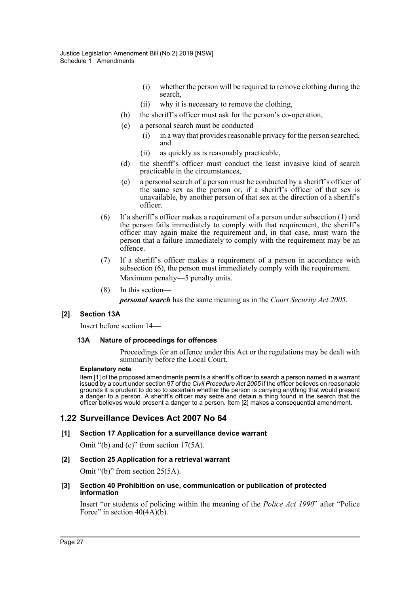- (i) whether the person will be required to remove clothing during the search,
- (ii) why it is necessary to remove the clothing,
- (b) the sheriff's officer must ask for the person's co-operation,
- (c) a personal search must be conducted—
	- (i) in a way that provides reasonable privacy for the person searched, and
	- (ii) as quickly as is reasonably practicable,
- (d) the sheriff's officer must conduct the least invasive kind of search practicable in the circumstances,
- (e) a personal search of a person must be conducted by a sheriff's officer of the same sex as the person or, if a sheriff's officer of that sex is unavailable, by another person of that sex at the direction of a sheriff's officer.
- (6) If a sheriff's officer makes a requirement of a person under subsection (1) and the person fails immediately to comply with that requirement, the sheriff's officer may again make the requirement and, in that case, must warn the person that a failure immediately to comply with the requirement may be an offence.
- (7) If a sheriff's officer makes a requirement of a person in accordance with subsection (6), the person must immediately comply with the requirement. Maximum penalty—5 penalty units.
- (8) In this section *personal search* has the same meaning as in the *Court Security Act 2005*.

#### **[2] Section 13A**

Insert before section 14—

#### **13A Nature of proceedings for offences**

Proceedings for an offence under this Act or the regulations may be dealt with summarily before the Local Court.

#### **Explanatory note**

Item [1] of the proposed amendments permits a sheriff's officer to search a person named in a warrant issued by a court under section 97 of the *Civil Procedure Act 2005* if the officer believes on reasonable grounds it is prudent to do so to ascertain whether the person is carrying anything that would present a danger to a person. A sheriff's officer may seize and detain a thing found in the search that the officer believes would present a danger to a person. Item [2] makes a consequential amendment.

# **1.22 Surveillance Devices Act 2007 No 64**

#### **[1] Section 17 Application for a surveillance device warrant**

Omit "(b) and (c)" from section 17(5A).

#### **[2] Section 25 Application for a retrieval warrant**

Omit "(b)" from section 25(5A).

#### **[3] Section 40 Prohibition on use, communication or publication of protected information**

Insert "or students of policing within the meaning of the *Police Act 1990*" after "Police Force" in section  $40(4\text{\AA})(b)$ .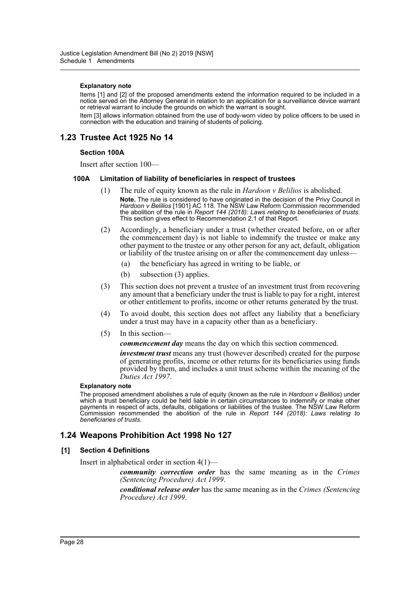#### **Explanatory note**

Items [1] and [2] of the proposed amendments extend the information required to be included in a notice served on the Attorney General in relation to an application for a surveillance device warrant or retrieval warrant to include the grounds on which the warrant is sought.

Item [3] allows information obtained from the use of body-worn video by police officers to be used in connection with the education and training of students of policing.

# **1.23 Trustee Act 1925 No 14**

#### **Section 100A**

Insert after section 100—

#### **100A Limitation of liability of beneficiaries in respect of trustees**

- (1) The rule of equity known as the rule in *Hardoon v Belilios* is abolished. **Note.** The rule is considered to have originated in the decision of the Privy Council in *Hardoon v Belilios* [1901] AC 118. The NSW Law Reform Commission recommended the abolition of the rule in *Report 144 (2018): Laws relating to beneficiaries of trusts.*<br>This section gives effect to Recommendation 2.1 of that Report.
- (2) Accordingly, a beneficiary under a trust (whether created before, on or after the commencement day) is not liable to indemnify the trustee or make any other payment to the trustee or any other person for any act, default, obligation or liability of the trustee arising on or after the commencement day unless—
	- (a) the beneficiary has agreed in writing to be liable, or
	- (b) subsection (3) applies.
- (3) This section does not prevent a trustee of an investment trust from recovering any amount that a beneficiary under the trust is liable to pay for a right, interest or other entitlement to profits, income or other returns generated by the trust.
- (4) To avoid doubt, this section does not affect any liability that a beneficiary under a trust may have in a capacity other than as a beneficiary.
- (5) In this section—

*commencement day* means the day on which this section commenced.

*investment trust* means any trust (however described) created for the purpose of generating profits, income or other returns for its beneficiaries using funds provided by them, and includes a unit trust scheme within the meaning of the *Duties Act 1997*.

#### **Explanatory note**

The proposed amendment abolishes a rule of equity (known as the rule in *Hardoon v Belilios*) under which a trust beneficiary could be held liable in certain circumstances to indemnify or make other payments in respect of acts, defaults, obligations or liabilities of the trustee. The NSW Law Reform Commission recommended the abolition of the rule in *Report 144 (2018): Laws relating to beneficiaries of trusts*.

# **1.24 Weapons Prohibition Act 1998 No 127**

#### **[1] Section 4 Definitions**

Insert in alphabetical order in section 4(1)—

*community correction order* has the same meaning as in the *Crimes (Sentencing Procedure) Act 1999*.

*conditional release order* has the same meaning as in the *Crimes (Sentencing Procedure) Act 1999*.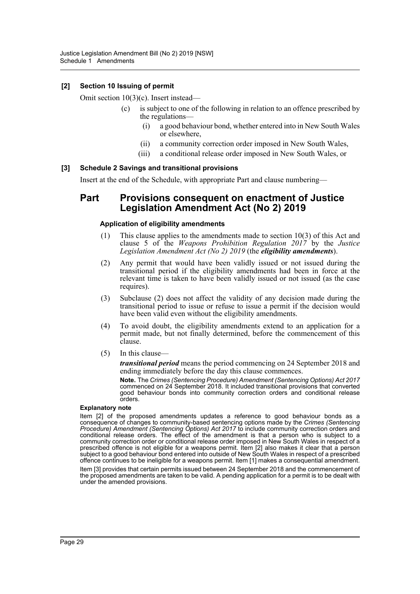### **[2] Section 10 Issuing of permit**

Omit section 10(3)(c). Insert instead—

- (c) is subject to one of the following in relation to an offence prescribed by the regulations—
	- (i) a good behaviour bond, whether entered into in New South Wales or elsewhere,
	- (ii) a community correction order imposed in New South Wales,
	- (iii) a conditional release order imposed in New South Wales, or

#### **[3] Schedule 2 Savings and transitional provisions**

Insert at the end of the Schedule, with appropriate Part and clause numbering—

# **Part Provisions consequent on enactment of Justice Legislation Amendment Act (No 2) 2019**

#### **Application of eligibility amendments**

- (1) This clause applies to the amendments made to section 10(3) of this Act and clause 5 of the *Weapons Prohibition Regulation 2017* by the *Justice Legislation Amendment Act (No 2) 2019* (the *eligibility amendments*).
- (2) Any permit that would have been validly issued or not issued during the transitional period if the eligibility amendments had been in force at the relevant time is taken to have been validly issued or not issued (as the case requires).
- (3) Subclause (2) does not affect the validity of any decision made during the transitional period to issue or refuse to issue a permit if the decision would have been valid even without the eligibility amendments.
- (4) To avoid doubt, the eligibility amendments extend to an application for a permit made, but not finally determined, before the commencement of this clause.
- (5) In this clause—

*transitional period* means the period commencing on 24 September 2018 and ending immediately before the day this clause commences.

**Note.** The *Crimes (Sentencing Procedure) Amendment (Sentencing Options) Act 2017* commenced on 24 September 2018. It included transitional provisions that converted good behaviour bonds into community correction orders and conditional release orders.

#### **Explanatory note**

Item [2] of the proposed amendments updates a reference to good behaviour bonds as a consequence of changes to community-based sentencing options made by the *Crimes (Sentencing Procedure) Amendment (Sentencing Options) Act 2017* to include community correction orders and conditional release orders. The effect of the amendment is that a person who is subject to a community correction order or conditional release order imposed in New South Wales in respect of a prescribed offence is not eligible for a weapons permit. Item [2] also makes it clear that a person subject to a good behaviour bond entered into outside of New South Wales in respect of a prescribed offence continues to be ineligible for a weapons permit. Item [1] makes a consequential amendment. Item [3] provides that certain permits issued between 24 September 2018 and the commencement of the proposed amendments are taken to be valid. A pending application for a permit is to be dealt with under the amended provisions.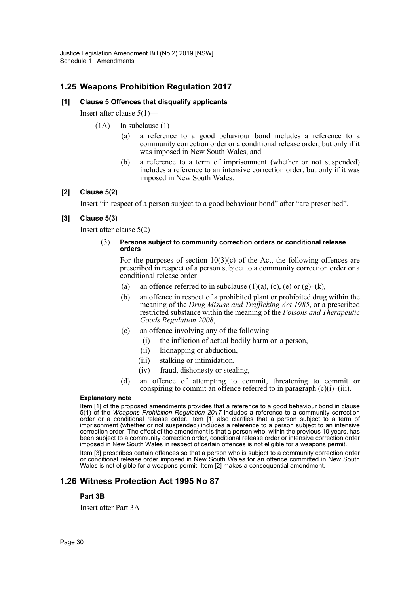# **1.25 Weapons Prohibition Regulation 2017**

### **[1] Clause 5 Offences that disqualify applicants**

Insert after clause 5(1)—

- $(1A)$  In subclause  $(1)$ 
	- (a) a reference to a good behaviour bond includes a reference to a community correction order or a conditional release order, but only if it was imposed in New South Wales, and
	- (b) a reference to a term of imprisonment (whether or not suspended) includes a reference to an intensive correction order, but only if it was imposed in New South Wales.

### **[2] Clause 5(2)**

Insert "in respect of a person subject to a good behaviour bond" after "are prescribed".

### **[3] Clause 5(3)**

Insert after clause 5(2)—

#### (3) **Persons subject to community correction orders or conditional release orders**

For the purposes of section  $10(3)(c)$  of the Act, the following offences are prescribed in respect of a person subject to a community correction order or a conditional release order—

- (a) an offence referred to in subclause  $(1)(a)$ ,  $(c)$ ,  $(e)$  or  $(g)$ – $(k)$ ,
- (b) an offence in respect of a prohibited plant or prohibited drug within the meaning of the *Drug Misuse and Trafficking Act 1985*, or a prescribed restricted substance within the meaning of the *Poisons and Therapeutic Goods Regulation 2008*,
- (c) an offence involving any of the following—
	- (i) the infliction of actual bodily harm on a person,
	- (ii) kidnapping or abduction,
	- (iii) stalking or intimidation,
	- (iv) fraud, dishonesty or stealing,
- (d) an offence of attempting to commit, threatening to commit or conspiring to commit an offence referred to in paragraph  $(c)(i)$ – $(iii)$ .

#### **Explanatory note**

Item [1] of the proposed amendments provides that a reference to a good behaviour bond in clause 5(1) of the *Weapons Prohibition Regulation 2017* includes a reference to a community correction order or a conditional release order. Item [1] also clarifies that a person subject to a term of imprisonment (whether or not suspended) includes a reference to a person subject to an intensive correction order. The effect of the amendment is that a person who, within the previous 10 years, has been subject to a community correction order, conditional release order or intensive correction order imposed in New South Wales in respect of certain offences is not eligible for a weapons permit.

Item [3] prescribes certain offences so that a person who is subject to a community correction order or conditional release order imposed in New South Wales for an offence committed in New South Wales is not eligible for a weapons permit. Item [2] makes a consequential amendment.

# **1.26 Witness Protection Act 1995 No 87**

#### **Part 3B**

Insert after Part 3A—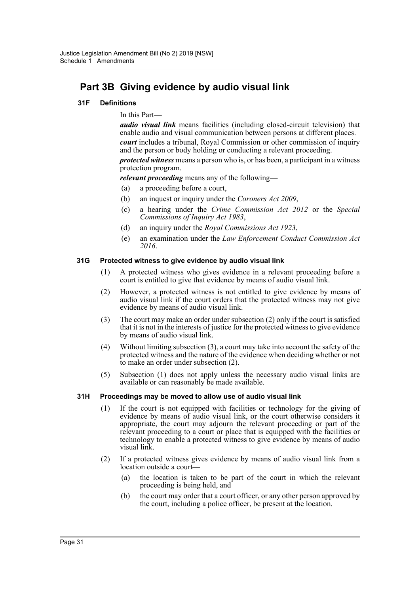# **Part 3B Giving evidence by audio visual link**

### **31F Definitions**

In this Part—

*audio visual link* means facilities (including closed-circuit television) that enable audio and visual communication between persons at different places.

*court* includes a tribunal, Royal Commission or other commission of inquiry and the person or body holding or conducting a relevant proceeding.

*protected witness* means a person who is, or has been, a participant in a witness protection program.

*relevant proceeding* means any of the following—

- (a) a proceeding before a court,
- (b) an inquest or inquiry under the *Coroners Act 2009*,
- (c) a hearing under the *Crime Commission Act 2012* or the *Special Commissions of Inquiry Act 1983*,
- (d) an inquiry under the *Royal Commissions Act 1923*,
- (e) an examination under the *Law Enforcement Conduct Commission Act 2016*.

#### **31G Protected witness to give evidence by audio visual link**

- (1) A protected witness who gives evidence in a relevant proceeding before a court is entitled to give that evidence by means of audio visual link.
- (2) However, a protected witness is not entitled to give evidence by means of audio visual link if the court orders that the protected witness may not give evidence by means of audio visual link.
- (3) The court may make an order under subsection (2) only if the court is satisfied that it is not in the interests of justice for the protected witness to give evidence by means of audio visual link.
- (4) Without limiting subsection (3), a court may take into account the safety of the protected witness and the nature of the evidence when deciding whether or not to make an order under subsection (2).
- (5) Subsection (1) does not apply unless the necessary audio visual links are available or can reasonably be made available.

#### **31H Proceedings may be moved to allow use of audio visual link**

- (1) If the court is not equipped with facilities or technology for the giving of evidence by means of audio visual link, or the court otherwise considers it appropriate, the court may adjourn the relevant proceeding or part of the relevant proceeding to a court or place that is equipped with the facilities or technology to enable a protected witness to give evidence by means of audio visual link.
- (2) If a protected witness gives evidence by means of audio visual link from a location outside a court—
	- (a) the location is taken to be part of the court in which the relevant proceeding is being held, and
	- (b) the court may order that a court officer, or any other person approved by the court, including a police officer, be present at the location.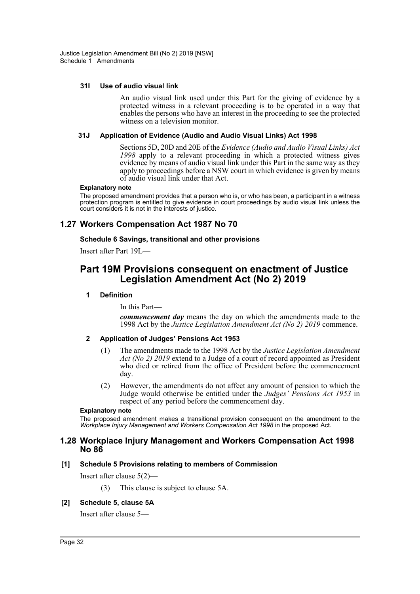#### **31I Use of audio visual link**

An audio visual link used under this Part for the giving of evidence by a protected witness in a relevant proceeding is to be operated in a way that enables the persons who have an interest in the proceeding to see the protected witness on a television monitor.

#### **31J Application of Evidence (Audio and Audio Visual Links) Act 1998**

Sections 5D, 20D and 20E of the *Evidence (Audio and Audio Visual Links) Act 1998* apply to a relevant proceeding in which a protected witness gives evidence by means of audio visual link under this Part in the same way as they apply to proceedings before a NSW court in which evidence is given by means of audio visual link under that Act.

#### **Explanatory note**

The proposed amendment provides that a person who is, or who has been, a participant in a witness protection program is entitled to give evidence in court proceedings by audio visual link unless the court considers it is not in the interests of justice.

# **1.27 Workers Compensation Act 1987 No 70**

#### **Schedule 6 Savings, transitional and other provisions**

Insert after Part 19L—

# **Part 19M Provisions consequent on enactment of Justice Legislation Amendment Act (No 2) 2019**

#### **1 Definition**

In this Part—

*commencement day* means the day on which the amendments made to the 1998 Act by the *Justice Legislation Amendment Act (No 2) 2019* commence.

#### **2 Application of Judges' Pensions Act 1953**

- (1) The amendments made to the 1998 Act by the *Justice Legislation Amendment Act (No 2) 2019* extend to a Judge of a court of record appointed as President who died or retired from the office of President before the commencement day.
- (2) However, the amendments do not affect any amount of pension to which the Judge would otherwise be entitled under the *Judges' Pensions Act 1953* in respect of any period before the commencement day.

#### **Explanatory note**

The proposed amendment makes a transitional provision consequent on the amendment to the *Workplace Injury Management and Workers Compensation Act 1998* in the proposed Act.

#### **1.28 Workplace Injury Management and Workers Compensation Act 1998 No 86**

#### **[1] Schedule 5 Provisions relating to members of Commission**

Insert after clause 5(2)—

(3) This clause is subject to clause 5A.

#### **[2] Schedule 5, clause 5A**

Insert after clause 5—